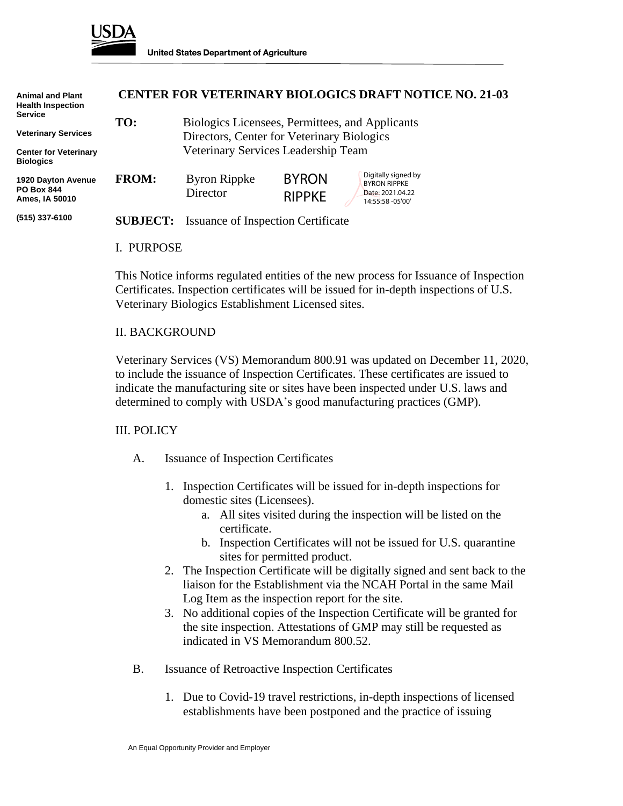

| <b>Animal and Plant</b><br><b>Health Inspection</b><br><b>Service</b><br><b>Veterinary Services</b> | <b>CENTER FOR VETERINARY BIOLOGICS DRAFT NOTICE NO. 21-03</b> |                                                                                               |                               |                                                                                    |
|-----------------------------------------------------------------------------------------------------|---------------------------------------------------------------|-----------------------------------------------------------------------------------------------|-------------------------------|------------------------------------------------------------------------------------|
|                                                                                                     | TO:                                                           | Biologics Licensees, Permittees, and Applicants<br>Directors, Center for Veterinary Biologics |                               |                                                                                    |
| <b>Center for Veterinary</b><br><b>Biologics</b>                                                    | Veterinary Services Leadership Team                           |                                                                                               |                               |                                                                                    |
| 1920 Dayton Avenue<br><b>PO Box 844</b><br>Ames, IA 50010                                           | <b>FROM:</b>                                                  | <b>Byron Rippke</b><br>Director                                                               | <b>BYRON</b><br><b>RIPPKE</b> | Digitally signed by<br><b>BYRON RIPPKE</b><br>Date: 2021.04.22<br>14:55:58 -05'00' |
| (515) 337-6100                                                                                      | <b>SUBJECT:</b>                                               | Issuance of Inspection Certificate                                                            |                               |                                                                                    |
|                                                                                                     | L. PURPOSE                                                    |                                                                                               |                               |                                                                                    |

This Notice informs regulated entities of the new process for Issuance of Inspection Certificates. Inspection certificates will be issued for in-depth inspections of U.S. Veterinary Biologics Establishment Licensed sites.

## II. BACKGROUND

Veterinary Services (VS) Memorandum 800.91 was updated on December 11, 2020, to include the issuance of Inspection Certificates. These certificates are issued to indicate the manufacturing site or sites have been inspected under U.S. laws and determined to comply with USDA's good manufacturing practices (GMP).

## III. POLICY

- A. Issuance of Inspection Certificates
	- 1. Inspection Certificates will be issued for in-depth inspections for domestic sites (Licensees).
		- a. All sites visited during the inspection will be listed on the certificate.
		- b. Inspection Certificates will not be issued for U.S. quarantine sites for permitted product.
	- 2. The Inspection Certificate will be digitally signed and sent back to the liaison for the Establishment via the NCAH Portal in the same Mail Log Item as the inspection report for the site.
	- 3. No additional copies of the Inspection Certificate will be granted for the site inspection. Attestations of GMP may still be requested as indicated in VS Memorandum 800.52.
- B. Issuance of Retroactive Inspection Certificates
	- 1. Due to Covid-19 travel restrictions, in-depth inspections of licensed establishments have been postponed and the practice of issuing